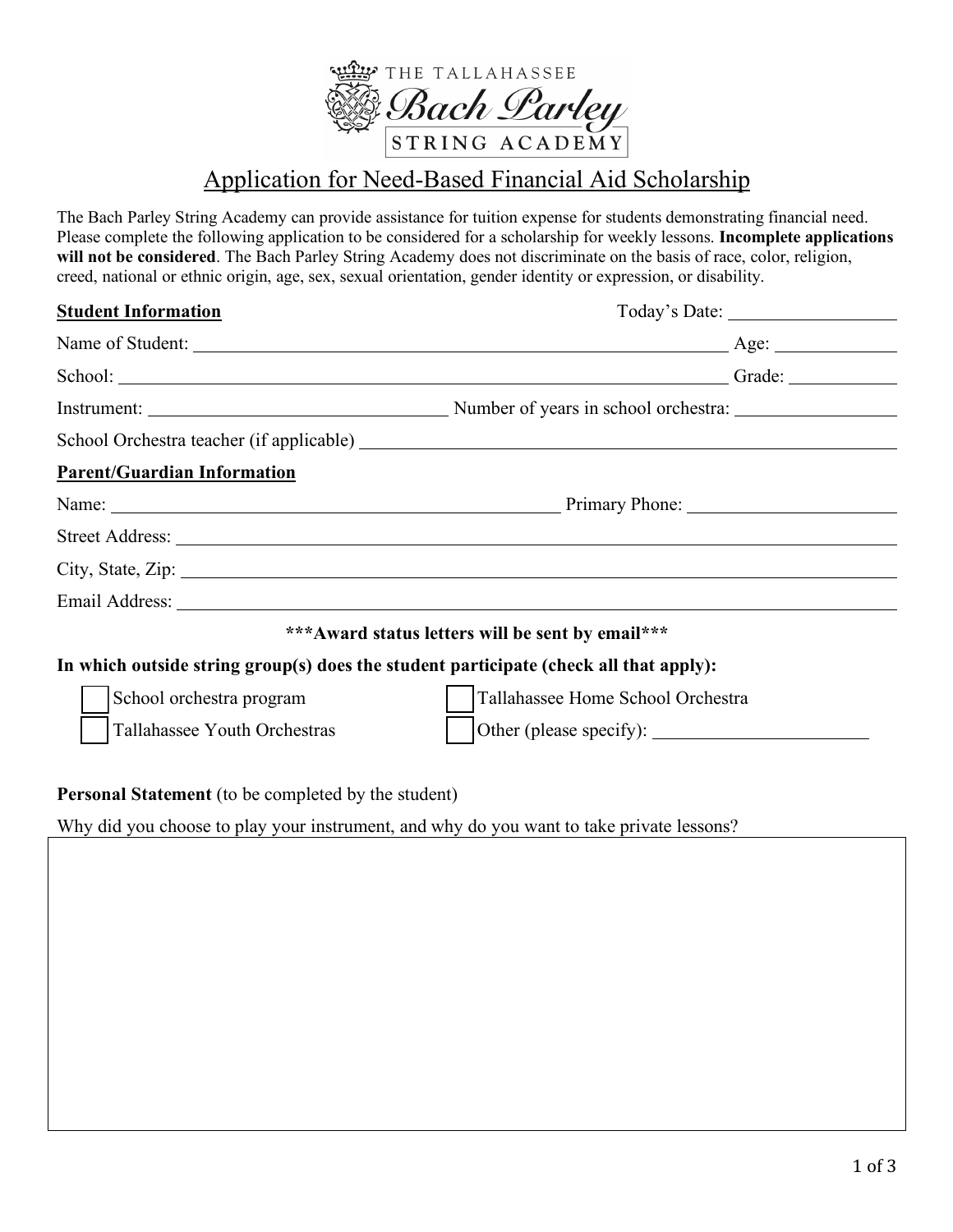

# Application for Need-Based Financial Aid Scholarship

The Bach Parley String Academy can provide assistance for tuition expense for students demonstrating financial need. Please complete the following application to be considered for a scholarship for weekly lessons. **Incomplete applications will not be considered**. The Bach Parley String Academy does not discriminate on the basis of race, color, religion, creed, national or ethnic origin, age, sex, sexual orientation, gender identity or expression, or disability.

| <b>Student Information</b>                                                            |                                                                                                                                                                                                                                |  |  |
|---------------------------------------------------------------------------------------|--------------------------------------------------------------------------------------------------------------------------------------------------------------------------------------------------------------------------------|--|--|
|                                                                                       |                                                                                                                                                                                                                                |  |  |
|                                                                                       | School: Grade: Grade: Grade: Compared by Grade: Compared by Grade: Compared by Grade: Compared by Grade: Compared by Grade: Compared by Grade: Compared by Grade: Compared by Grade: Compared by Grade: Compared by Grade: Com |  |  |
|                                                                                       |                                                                                                                                                                                                                                |  |  |
|                                                                                       |                                                                                                                                                                                                                                |  |  |
| <b>Parent/Guardian Information</b>                                                    |                                                                                                                                                                                                                                |  |  |
|                                                                                       |                                                                                                                                                                                                                                |  |  |
|                                                                                       |                                                                                                                                                                                                                                |  |  |
|                                                                                       | City, State, Zip: 2008. Experience of the State of Table 3.                                                                                                                                                                    |  |  |
|                                                                                       | Email Address: No. 2016. The Contract of the Contract of the Contract of the Contract of the Contract of the Contract of the Contract of the Contract of the Contract of the Contract of the Contract of the Contract of the C |  |  |
|                                                                                       | *** Award status letters will be sent by email***                                                                                                                                                                              |  |  |
| In which outside string group(s) does the student participate (check all that apply): |                                                                                                                                                                                                                                |  |  |
| School orchestra program                                                              | Tallahassee Home School Orchestra                                                                                                                                                                                              |  |  |
| Tallahassee Youth Orchestras                                                          |                                                                                                                                                                                                                                |  |  |
| <b>Personal Statement</b> (to be completed by the student)                            |                                                                                                                                                                                                                                |  |  |

Why did you choose to play your instrument, and why do you want to take private lessons?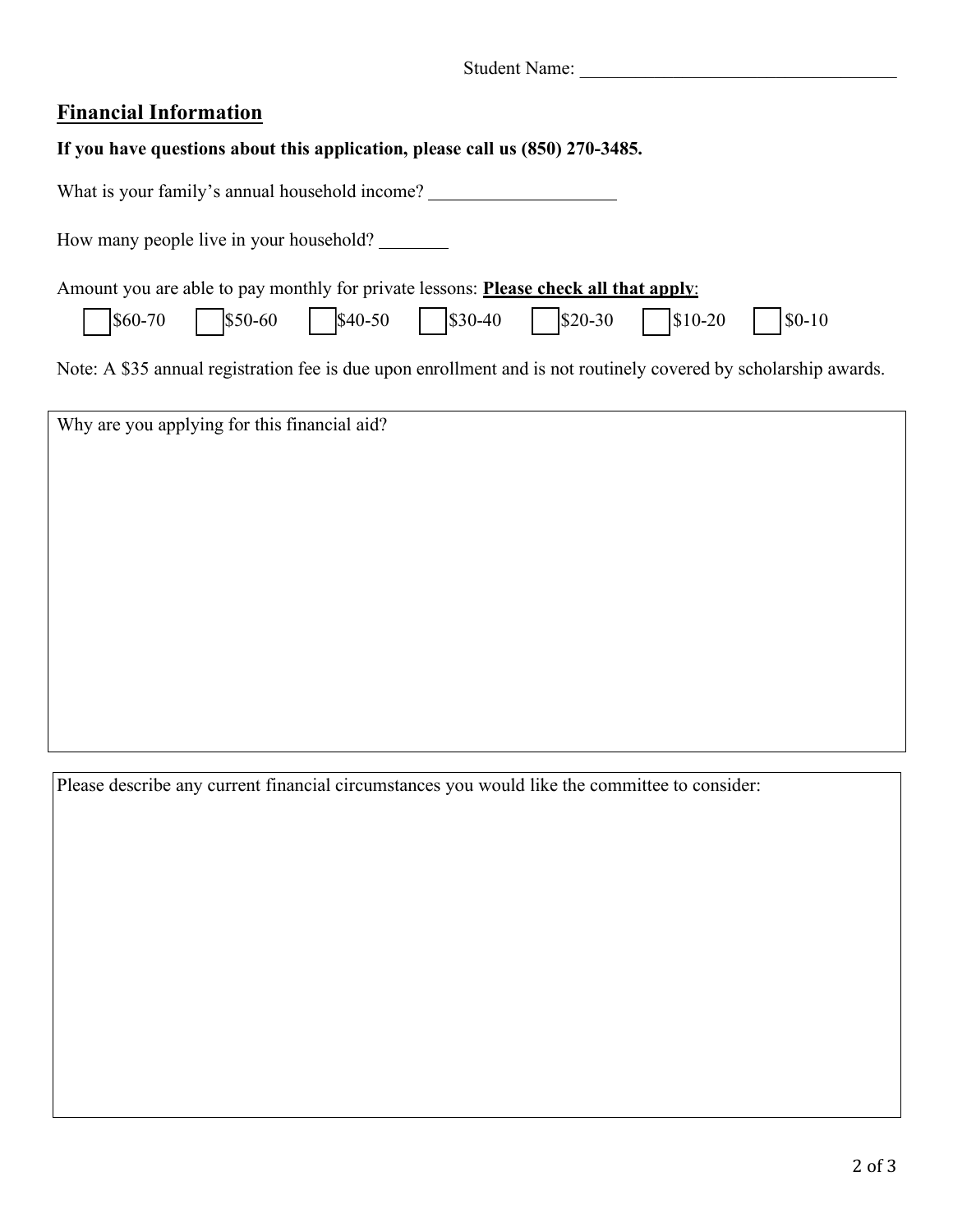| <b>Student Name:</b> |  |
|----------------------|--|
|----------------------|--|

## **Financial Information**

| If you have questions about this application, please call us (850) 270-3485. |  |  |  |
|------------------------------------------------------------------------------|--|--|--|
|                                                                              |  |  |  |

| What is your family's annual household income?                                                                                                                                                                                                         |
|--------------------------------------------------------------------------------------------------------------------------------------------------------------------------------------------------------------------------------------------------------|
| How many people live in your household?                                                                                                                                                                                                                |
| Amount you are able to pay monthly for private lessons: <b>Please check all that apply:</b><br>$\left  \text{\$0-10} \right\rangle$<br>Note: A \$35 annual registration fee is due upon enrollment and is not routinely covered by scholarship awards. |
| Why are you applying for this financial aid?                                                                                                                                                                                                           |

Please describe any current financial circumstances you would like the committee to consider: